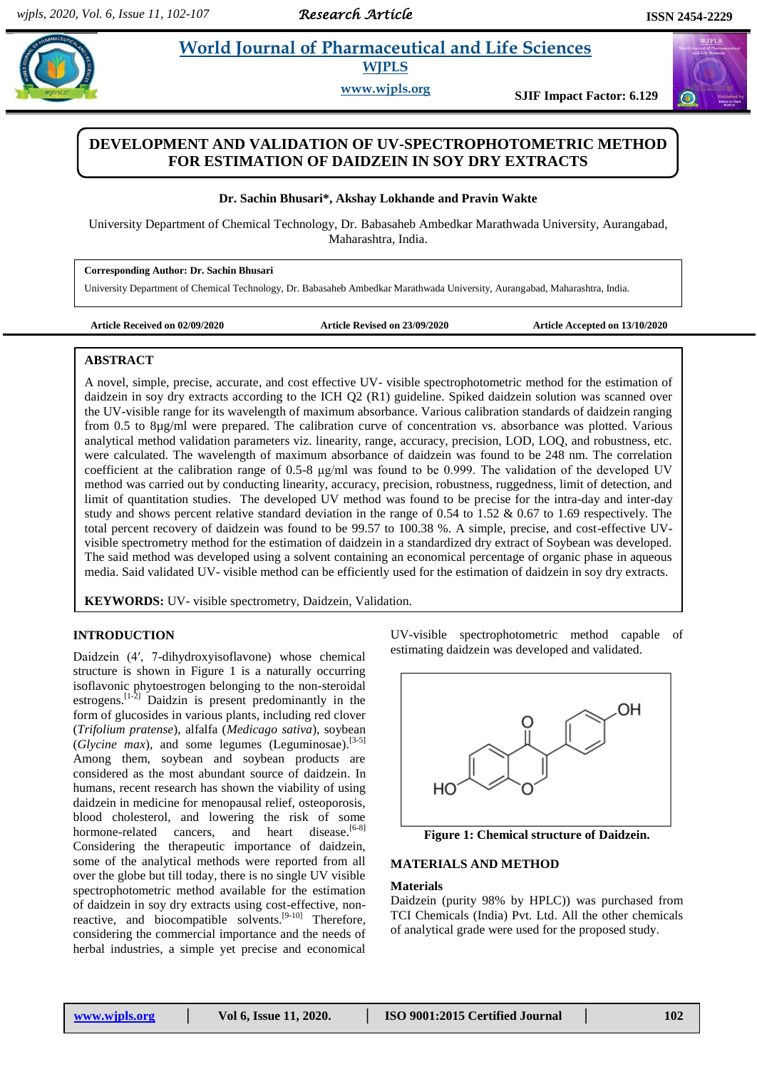*Research Article* 

 $\bigodot$ 

#### **Bhusaring** *E* **allowing** *E* **allowing** *Bharmaceutical and Life Sciences* **<b>E allowing 2**  **World Journal of Pharmaceutical and Life Sciences WJPLS**

**www.wjpls.org SJIF Impact Factor: 6.129**

# **DEVELOPMENT AND VALIDATION OF UV-SPECTROPHOTOMETRIC METHOD FOR ESTIMATION OF DAIDZEIN IN SOY DRY EXTRACTS**

**Dr. Sachin Bhusari\*, Akshay Lokhande and Pravin Wakte**

University Department of Chemical Technology, Dr. Babasaheb Ambedkar Marathwada University, Aurangabad, Maharashtra, India.

**Corresponding Author: Dr. Sachin Bhusari**

University Department of Chemical Technology, Dr. Babasaheb Ambedkar Marathwada University, Aurangabad, Maharashtra, India.

**Article Received on 02/09/2020 Article Revised on 23/09/2020 Article Accepted on 13/10/2020**

### **ABSTRACT**

A novel, simple, precise, accurate, and cost effective UV- visible spectrophotometric method for the estimation of daidzein in soy dry extracts according to the ICH Q2 (R1) guideline. Spiked daidzein solution was scanned over the UV-visible range for its wavelength of maximum absorbance. Various calibration standards of daidzein ranging from 0.5 to 8µg/ml were prepared. The calibration curve of concentration vs. absorbance was plotted. Various analytical method validation parameters viz. linearity, range, accuracy, precision, LOD, LOQ, and robustness, etc. were calculated. The wavelength of maximum absorbance of daidzein was found to be 248 nm. The correlation coefficient at the calibration range of 0.5-8 μg/ml was found to be 0.999. The validation of the developed UV method was carried out by conducting linearity, accuracy, precision, robustness, ruggedness, limit of detection, and limit of quantitation studies. The developed UV method was found to be precise for the intra-day and inter-day study and shows percent relative standard deviation in the range of 0.54 to 1.52 & 0.67 to 1.69 respectively. The total percent recovery of daidzein was found to be 99.57 to 100.38 %. A simple, precise, and cost-effective UVvisible spectrometry method for the estimation of daidzein in a standardized dry extract of Soybean was developed. The said method was developed using a solvent containing an economical percentage of organic phase in aqueous media. Said validated UV- visible method can be efficiently used for the estimation of daidzein in soy dry extracts.

**KEYWORDS:** UV- visible spectrometry, Daidzein*,* Validation.

## **INTRODUCTION**

Daidzein (4′, 7-dihydroxyisoflavone) whose chemical structure is shown in Figure 1 is a naturally occurring isoflavonic phytoestrogen belonging to the non-steroidal estrogens.[1-2] Daidzin is present predominantly in the form of glucosides in various plants, including red clover (*Trifolium pratense*), alfalfa (*Medicago sativa*), soybean (*Glycine max*), and some legumes (Leguminosae).<sup>[3-5]</sup> Among them, soybean and soybean products are considered as the most abundant source of daidzein. In humans, recent research has shown the viability of using daidzein in medicine for menopausal relief, osteoporosis, blood cholesterol, and lowering the risk of some hormone-related cancers, and heart disease.<sup>[6-8]</sup> Considering the therapeutic importance of daidzein, some of the analytical methods were reported from all over the globe but till today, there is no single UV visible spectrophotometric method available for the estimation of daidzein in soy dry extracts using cost-effective, nonreactive, and biocompatible solvents.<sup>[9-10]</sup> Therefore, considering the commercial importance and the needs of herbal industries, a simple yet precise and economical

UV-visible spectrophotometric method capable of estimating daidzein was developed and validated.



**Figure 1: Chemical structure of Daidzein.**

### **MATERIALS AND METHOD**

### **Materials**

Daidzein (purity 98% by HPLC)) was purchased from TCI Chemicals (India) Pvt. Ltd. All the other chemicals of analytical grade were used for the proposed study.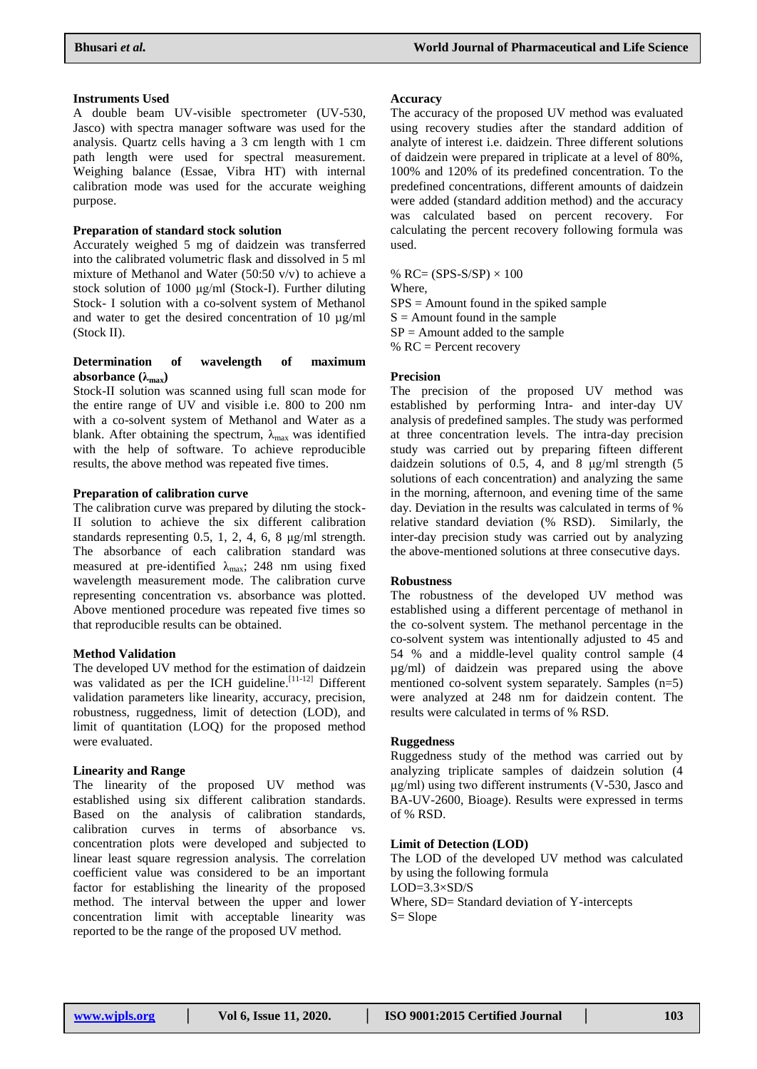### **Instruments Used**

A double beam UV-visible spectrometer (UV-530, Jasco) with spectra manager software was used for the analysis. Quartz cells having a 3 cm length with 1 cm path length were used for spectral measurement. Weighing balance (Essae, Vibra HT) with internal calibration mode was used for the accurate weighing purpose.

### **Preparation of standard stock solution**

Accurately weighed 5 mg of daidzein was transferred into the calibrated volumetric flask and dissolved in 5 ml mixture of Methanol and Water (50:50  $v/v$ ) to achieve a stock solution of 1000 μg/ml (Stock-I). Further diluting Stock- I solution with a co-solvent system of Methanol and water to get the desired concentration of 10 µg/ml (Stock II).

### **Determination of wavelength of maximum absorbance (λmax)**

Stock-II solution was scanned using full scan mode for the entire range of UV and visible i.e. 800 to 200 nm with a co-solvent system of Methanol and Water as a blank. After obtaining the spectrum,  $\lambda_{\text{max}}$  was identified with the help of software. To achieve reproducible results, the above method was repeated five times.

### **Preparation of calibration curve**

The calibration curve was prepared by diluting the stock-II solution to achieve the six different calibration standards representing 0.5, 1, 2, 4, 6, 8 μg/ml strength. The absorbance of each calibration standard was measured at pre-identified  $\lambda_{\text{max}}$ ; 248 nm using fixed wavelength measurement mode. The calibration curve representing concentration vs. absorbance was plotted. Above mentioned procedure was repeated five times so that reproducible results can be obtained.

### **Method Validation**

The developed UV method for the estimation of daidzein was validated as per the ICH guideline.<sup>[11-12]</sup> Different validation parameters like linearity, accuracy, precision, robustness, ruggedness, limit of detection (LOD), and limit of quantitation (LOQ) for the proposed method were evaluated.

## **Linearity and Range**

The linearity of the proposed UV method was established using six different calibration standards. Based on the analysis of calibration standards, calibration curves in terms of absorbance vs. concentration plots were developed and subjected to linear least square regression analysis. The correlation coefficient value was considered to be an important factor for establishing the linearity of the proposed method. The interval between the upper and lower concentration limit with acceptable linearity was reported to be the range of the proposed UV method.

#### **Accuracy**

The accuracy of the proposed UV method was evaluated using recovery studies after the standard addition of analyte of interest i.e. daidzein. Three different solutions of daidzein were prepared in triplicate at a level of 80%, 100% and 120% of its predefined concentration. To the predefined concentrations, different amounts of daidzein were added (standard addition method) and the accuracy was calculated based on percent recovery. For calculating the percent recovery following formula was used.

% RC=  $(SPS-S/SP) \times 100$ Where,  $SPS =$  Amount found in the spiked sample  $S =$  Amount found in the sample  $SP =$  Amount added to the sample  $% RC = Percent recovery$ 

### **Precision**

The precision of the proposed UV method was established by performing Intra- and inter-day UV analysis of predefined samples. The study was performed at three concentration levels. The intra-day precision study was carried out by preparing fifteen different daidzein solutions of 0.5, 4, and 8 μg/ml strength (5 solutions of each concentration) and analyzing the same in the morning, afternoon, and evening time of the same day. Deviation in the results was calculated in terms of % relative standard deviation (% RSD). Similarly, the inter-day precision study was carried out by analyzing the above-mentioned solutions at three consecutive days.

### **Robustness**

The robustness of the developed UV method was established using a different percentage of methanol in the co-solvent system. The methanol percentage in the co-solvent system was intentionally adjusted to 45 and 54 % and a middle-level quality control sample (4 µg/ml) of daidzein was prepared using the above mentioned co-solvent system separately. Samples (n=5) were analyzed at 248 nm for daidzein content. The results were calculated in terms of % RSD.

### **Ruggedness**

Ruggedness study of the method was carried out by analyzing triplicate samples of daidzein solution (4 μg/ml) using two different instruments (V-530, Jasco and BA-UV-2600, Bioage). Results were expressed in terms of % RSD.

### **Limit of Detection (LOD)**

The LOD of the developed UV method was calculated by using the following formula  $LOD=3.3\times SD/S$ Where, SD= Standard deviation of Y-intercepts S= Slope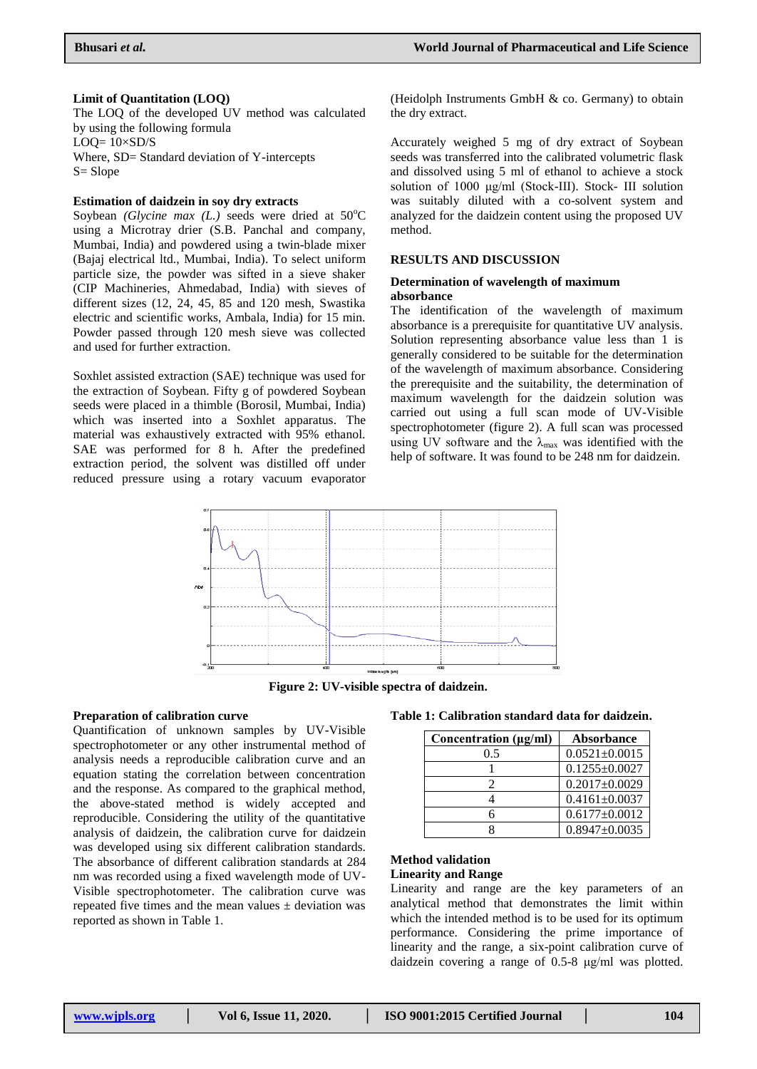#### **Limit of Quantitation (LOQ)**

The LOQ of the developed UV method was calculated by using the following formula  $LOO= 10\times SD/S$ Where, SD= Standard deviation of Y-intercepts S= Slope

### **Estimation of daidzein in soy dry extracts**

Soybean *(Glycine max (L.)* seeds were dried at  $50^{\circ}$ C using a Microtray drier (S.B. Panchal and company, Mumbai, India) and powdered using a twin-blade mixer (Bajaj electrical ltd., Mumbai, India). To select uniform particle size, the powder was sifted in a sieve shaker (CIP Machineries, Ahmedabad, India) with sieves of different sizes (12, 24, 45, 85 and 120 mesh, Swastika electric and scientific works, Ambala, India) for 15 min. Powder passed through 120 mesh sieve was collected and used for further extraction.

Soxhlet assisted extraction (SAE) technique was used for the extraction of Soybean. Fifty g of powdered Soybean seeds were placed in a thimble (Borosil, Mumbai, India) which was inserted into a Soxhlet apparatus. The material was exhaustively extracted with 95% ethanol. SAE was performed for 8 h. After the predefined extraction period, the solvent was distilled off under reduced pressure using a rotary vacuum evaporator

(Heidolph Instruments GmbH & co. Germany) to obtain the dry extract.

Accurately weighed 5 mg of dry extract of Soybean seeds was transferred into the calibrated volumetric flask and dissolved using 5 ml of ethanol to achieve a stock solution of 1000 μg/ml (Stock-III). Stock- III solution was suitably diluted with a co-solvent system and analyzed for the daidzein content using the proposed UV method.

### **RESULTS AND DISCUSSION**

### **Determination of wavelength of maximum absorbance**

The identification of the wavelength of maximum absorbance is a prerequisite for quantitative UV analysis. Solution representing absorbance value less than 1 is generally considered to be suitable for the determination of the wavelength of maximum absorbance. Considering the prerequisite and the suitability, the determination of maximum wavelength for the daidzein solution was carried out using a full scan mode of UV-Visible spectrophotometer (figure 2). A full scan was processed using UV software and the  $\lambda_{\text{max}}$  was identified with the help of software. It was found to be 248 nm for daidzein.



**Figure 2: UV-visible spectra of daidzein.**

### **Preparation of calibration curve**

Quantification of unknown samples by UV-Visible spectrophotometer or any other instrumental method of analysis needs a reproducible calibration curve and an equation stating the correlation between concentration and the response. As compared to the graphical method, the above-stated method is widely accepted and reproducible. Considering the utility of the quantitative analysis of daidzein, the calibration curve for daidzein was developed using six different calibration standards. The absorbance of different calibration standards at 284 nm was recorded using a fixed wavelength mode of UV-Visible spectrophotometer. The calibration curve was repeated five times and the mean values  $\pm$  deviation was reported as shown in Table 1.

### **Table 1: Calibration standard data for daidzein.**

| Concentration (µg/ml) | <b>Absorbance</b>   |
|-----------------------|---------------------|
| 0.5                   | $0.0521 \pm 0.0015$ |
|                       | $0.1255 \pm 0.0027$ |
| 2                     | $0.2017 \pm 0.0029$ |
|                       | $0.4161 \pm 0.0037$ |
|                       | $0.6177 \pm 0.0012$ |
|                       | $0.8947 \pm 0.0035$ |

#### **Method validation Linearity and Range**

Linearity and range are the key parameters of an analytical method that demonstrates the limit within which the intended method is to be used for its optimum performance. Considering the prime importance of linearity and the range, a six-point calibration curve of daidzein covering a range of 0.5-8 μg/ml was plotted.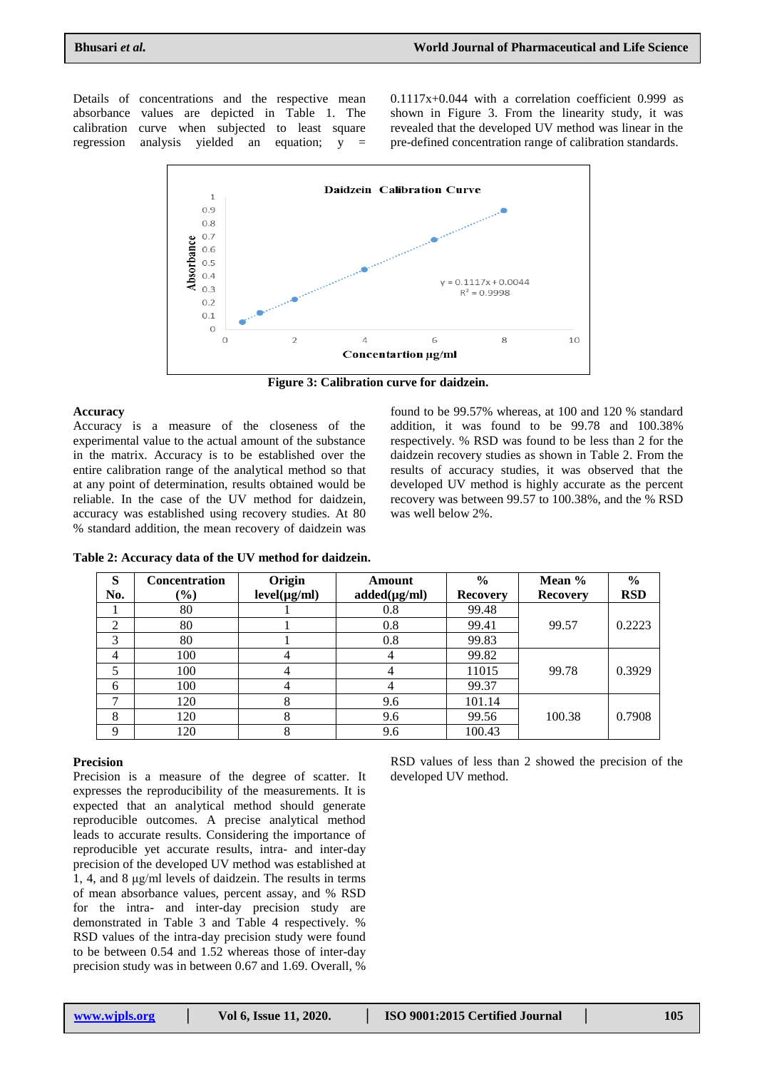Details of concentrations and the respective mean absorbance values are depicted in Table 1. The calibration curve when subjected to least square regression analysis yielded an equation; y =

0.1117x+0.044 with a correlation coefficient 0.999 as shown in Figure 3. From the linearity study, it was revealed that the developed UV method was linear in the pre-defined concentration range of calibration standards.



**Figure 3: Calibration curve for daidzein.**

### **Accuracy**

Accuracy is a measure of the closeness of the experimental value to the actual amount of the substance in the matrix. Accuracy is to be established over the entire calibration range of the analytical method so that at any point of determination, results obtained would be reliable. In the case of the UV method for daidzein, accuracy was established using recovery studies. At 80 % standard addition, the mean recovery of daidzein was

found to be 99.57% whereas, at 100 and 120 % standard addition, it was found to be 99.78 and 100.38% respectively. % RSD was found to be less than 2 for the daidzein recovery studies as shown in Table 2. From the results of accuracy studies, it was observed that the developed UV method is highly accurate as the percent recovery was between 99.57 to 100.38%, and the % RSD was well below 2%.

| Table 2: Accuracy data of the UV method for daidzein. |  |  |  |
|-------------------------------------------------------|--|--|--|
|-------------------------------------------------------|--|--|--|

| S           | <b>Concentration</b>         | Origin            | Amount            | $\frac{0}{0}$   | Mean $%$        | $\frac{6}{6}$ |
|-------------|------------------------------|-------------------|-------------------|-----------------|-----------------|---------------|
| No.         | $\left( \frac{0}{0} \right)$ | $level(\mu g/ml)$ | $added(\mu g/ml)$ | <b>Recovery</b> | <b>Recovery</b> | <b>RSD</b>    |
|             | 80                           |                   | 0.8               | 99.48           |                 |               |
| 2           | 80                           |                   | 0.8               | 99.41           | 99.57           | 0.2223        |
| 3           | 80                           |                   | 0.8               | 99.83           |                 |               |
| 4           | 100                          |                   |                   | 99.82           |                 |               |
| 5           | 100                          |                   |                   | 11015           | 99.78           | 0.3929        |
| 6           | 100                          |                   |                   | 99.37           |                 |               |
| ⇁           | 120                          | Λ                 | 9.6               | 101.14          |                 |               |
| 8           | 120                          |                   | 9.6               | 99.56           | 100.38          | 0.7908        |
| $\mathbf Q$ | 120                          | ◠                 | 9.6               | 100.43          |                 |               |

### **Precision**

Precision is a measure of the degree of scatter. It expresses the reproducibility of the measurements. It is expected that an analytical method should generate reproducible outcomes. A precise analytical method leads to accurate results. Considering the importance of reproducible yet accurate results, intra- and inter-day precision of the developed UV method was established at 1, 4, and 8 μg/ml levels of daidzein. The results in terms of mean absorbance values, percent assay, and % RSD for the intra- and inter-day precision study are demonstrated in Table 3 and Table 4 respectively. % RSD values of the intra-day precision study were found to be between 0.54 and 1.52 whereas those of inter-day precision study was in between 0.67 and 1.69. Overall, %

RSD values of less than 2 showed the precision of the developed UV method.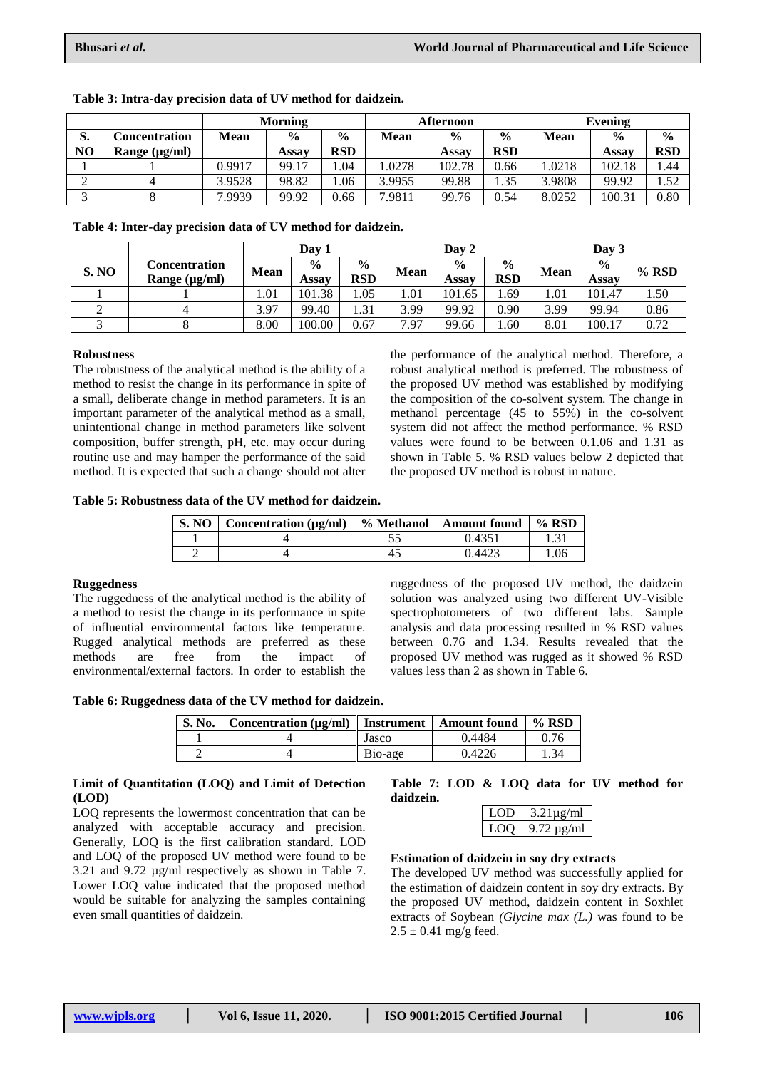|    |                    | <b>Morning</b> |               |               | <b>Afternoon</b> |               |               | Evening     |               |               |
|----|--------------------|----------------|---------------|---------------|------------------|---------------|---------------|-------------|---------------|---------------|
| D. | Concentration      | <b>Mean</b>    | $\frac{0}{0}$ | $\frac{0}{0}$ | Mean             | $\frac{0}{0}$ | $\frac{0}{0}$ | <b>Mean</b> | $\frac{0}{0}$ | $\frac{0}{0}$ |
| NO | Range $(\mu g/ml)$ |                | Assav         | <b>RSD</b>    |                  | Assav         | <b>RSD</b>    |             | Assav         | <b>RSD</b>    |
|    |                    | 0.9917         | 99.17         | .04           | .0278            | 102.78        | 0.66          | .0218       | 102.18        | . .44         |
|    |                    | 3.9528         | 98.82         | .06           | 3.9955           | 99.88         | . 35          | 3.9808      | 99.92         | 1.52          |
|    |                    | 7.9939         | 99.92         | 0.66          | 7.9811           | 99.76         | 0.54          | 8.0252      | 100.31        | 0.80          |

**Table 3: Intra-day precision data of UV method for daidzein.**

**Table 4: Inter-day precision data of UV method for daidzein.**

|              |                                     | Day 1       |                        | Day 2                       |             |                        | Day 3                       |             |                               |       |
|--------------|-------------------------------------|-------------|------------------------|-----------------------------|-------------|------------------------|-----------------------------|-------------|-------------------------------|-------|
| <b>S. NO</b> | Concentration<br>Range $(\mu g/ml)$ | <b>Mean</b> | $\frac{0}{0}$<br>Assay | $\frac{6}{6}$<br><b>RSD</b> | <b>Mean</b> | $\frac{0}{0}$<br>Assav | $\frac{6}{6}$<br><b>RSD</b> | <b>Mean</b> | $\frac{0}{0}$<br><b>Assay</b> | % RSD |
|              |                                     | 1.01        | 101.38                 | 1.05                        | 1.01        | 101.65                 | . 69                        | 1.01        | 101.47                        | 1.50  |
|              |                                     | 3.97        | 99.40                  | . 31                        | 3.99        | 99.92                  | 0.90                        | 3.99        | 99.94                         | 0.86  |
|              |                                     | 8.00        | 100.00                 | 0.67                        | 1.97<br>⇁   | 99.66                  | 0.60                        | 8.01        | 100.17                        | 0.72  |

### **Robustness**

The robustness of the analytical method is the ability of a method to resist the change in its performance in spite of a small, deliberate change in method parameters. It is an important parameter of the analytical method as a small, unintentional change in method parameters like solvent composition, buffer strength, pH, etc. may occur during routine use and may hamper the performance of the said method. It is expected that such a change should not alter the performance of the analytical method. Therefore, a robust analytical method is preferred. The robustness of the proposed UV method was established by modifying the composition of the co-solvent system. The change in methanol percentage (45 to 55%) in the co-solvent system did not affect the method performance. % RSD values were found to be between 0.1.06 and 1.31 as shown in Table 5. % RSD values below 2 depicted that the proposed UV method is robust in nature.

**Table 5: Robustness data of the UV method for daidzein.**

| <b>S. NO</b> | Concentration $(\mu g/ml)$ | ■ % Methanol   Amount found | $%$ RSD |
|--------------|----------------------------|-----------------------------|---------|
|              |                            | า 4351                      |         |
|              |                            | 1442.7                      | .06     |

### **Ruggedness**

The ruggedness of the analytical method is the ability of a method to resist the change in its performance in spite of influential environmental factors like temperature. Rugged analytical methods are preferred as these methods are free from the impact of environmental/external factors. In order to establish the ruggedness of the proposed UV method, the daidzein solution was analyzed using two different UV-Visible spectrophotometers of two different labs. Sample analysis and data processing resulted in % RSD values between 0.76 and 1.34. Results revealed that the proposed UV method was rugged as it showed % RSD values less than 2 as shown in Table 6.

**Table 6: Ruggedness data of the UV method for daidzein.**

| S. No. | $\vert$ Concentration ( $\mu$ g/ml) $\vert$ Instrument |         | <b>Amount found</b> | $%$ RSD |
|--------|--------------------------------------------------------|---------|---------------------|---------|
|        |                                                        | Jasco   | 0.4484              | 0.76    |
|        |                                                        | Bio-age | 0.4226              | 1.34    |

### **Limit of Quantitation (LOQ) and Limit of Detection (LOD)**

LOQ represents the lowermost concentration that can be analyzed with acceptable accuracy and precision. Generally, LOQ is the first calibration standard. LOD and LOQ of the proposed UV method were found to be 3.21 and 9.72 µg/ml respectively as shown in Table 7. Lower LOQ value indicated that the proposed method would be suitable for analyzing the samples containing even small quantities of daidzein.

#### **Table 7: LOD & LOQ data for UV method for daidzein.**

| .          | $3.21$ ug/ml                |
|------------|-----------------------------|
| . <i>.</i> | $\mu \sigma / m$<br>$+T$ ). |

### **Estimation of daidzein in soy dry extracts**

The developed UV method was successfully applied for the estimation of daidzein content in soy dry extracts. By the proposed UV method, daidzein content in Soxhlet extracts of Soybean *(Glycine max (L.)* was found to be  $2.5 \pm 0.41$  mg/g feed.